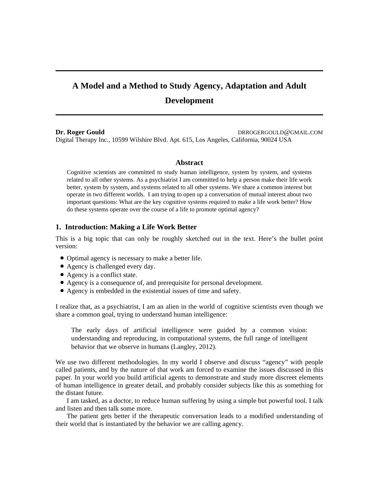# **A Model and a Method to Study Agency, Adaptation and Adult Development**

**Dr. Roger Gould DRROGERGOULD@GMAIL.COM** Digital Therapy Inc., 10599 Wilshire Blvd. Apt. 615, Los Angeles, California, 90024 USA

## **Abstract**

Cognitive scientists are committed to study human intelligence, system by system, and systems related to all other systems. As a psychiatrist I am committed to help a person make their life work better, system by system, and systems related to all other systems. We share a common interest but operate in two different worlds. I am trying to open up a conversation of mutual interest about two important questions: What are the key cognitive systems required to make a life work better? How do these systems operate over the course of a life to promote optimal agency?

# **1. Introduction: Making a Life Work Better**

This is a big topic that can only be roughly sketched out in the text. Here's the bullet point version:

- Optimal agency is necessary to make a better life.
- Agency is challenged every day.
- Agency is a conflict state.
- Agency is a consequence of, and prerequisite for personal development.
- Agency is embedded in the existential issues of time and safety.

I realize that, as a psychiatrist, I am an alien in the world of cognitive scientists even though we share a common goal, trying to understand human intelligence:

The early days of artificial intelligence were guided by a common vision: understanding and reproducing, in computational systems, the full range of intelligent behavior that we observe in humans (Langley, 2012).

We use two different methodologies. In my world I observe and discuss "agency" with people called patients, and by the nature of that work am forced to examine the issues discussed in this paper. In your world you build artificial agents to demonstrate and study more discreet elements of human intelligence in greater detail, and probably consider subjects like this as something for the distant future.

I am tasked, as a doctor, to reduce human suffering by using a simple but powerful tool. I talk and listen and then talk some more.

The patient gets better if the therapeutic conversation leads to a modified understanding of their world that is instantiated by the behavior we are calling agency.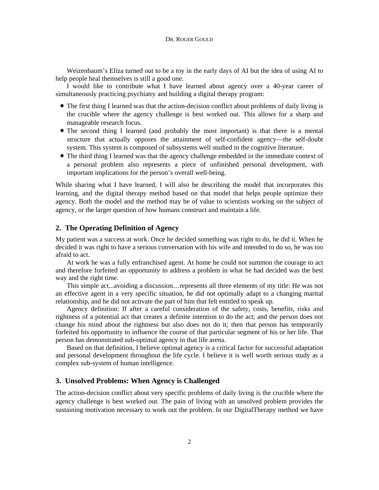Weizenbaum's Eliza turned out to be a toy in the early days of AI but the idea of using AI to help people heal themselves is still a good one.

I would like to contribute what I have learned about agency over a 40-year career of simultaneously practicing psychiatry and building a digital therapy program:

- The first thing I learned was that the action-decision conflict about problems of daily living is the crucible where the agency challenge is best worked out. This allows for a sharp and manageable research focus.
- The second thing I learned (and probably the most important) is that there is a mental structure that actually opposes the attainment of self-confident agency—the self-doubt system. This system is composed of subsystems well studied in the cognitive literature.
- The third thing I learned was that the agency challenge embedded in the immediate context of a personal problem also represents a piece of unfinished personal development, with important implications for the person's overall well-being.

While sharing what I have learned, I will also be describing the model that incorporates this learning, and the digital therapy method based on that model that helps people optimize their agency. Both the model and the method may be of value to scientists working on the subject of agency, or the larger question of how humans construct and maintain a life.

# **2. The Operating Definition of Agency**

My patient was a success at work. Once he decided something was right to do, he did it. When he decided it was right to have a serious conversation with his wife and intended to do so, he was too afraid to act.

At work he was a fully enfranchised agent. At home he could not summon the courage to act and therefore forfeited an opportunity to address a problem in what he had decided was the best way and the right time.

This simple act...avoiding a discussion…represents all three elements of my title: He was not an effective agent in a very specific situation, he did not optimally adapt to a changing marital relationship, and he did not activate the part of him that felt entitled to speak up.

Agency definition: If after a careful consideration of the safety, costs, benefits, risks and rightness of a potential act that creates a definite intention to do the act; and the person does not change his mind about the rightness but also does not do it; then that person has temporarily forfeited his opportunity to influence the course of that particular segment of his or her life. That person has demonstrated sub-optimal agency in that life arena.

Based on that definition, I believe optimal agency is a critical factor for successful adaptation and personal development throughout the life cycle. I believe it is well worth serious study as a complex sub-system of human intelligence.

# **3. Unsolved Problems: When Agency is Challenged**

The action-decision conflict about very specific problems of daily living is the crucible where the agency challenge is best worked out. The pain of living with an unsolved problem provides the sustaining motivation necessary to work out the problem. In our DigitalTherapy method we have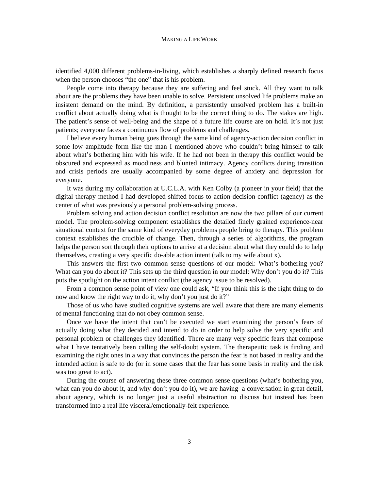identified 4,000 different problems-in-living, which establishes a sharply defined research focus when the person chooses "the one" that is his problem.

People come into therapy because they are suffering and feel stuck. All they want to talk about are the problems they have been unable to solve. Persistent unsolved life problems make an insistent demand on the mind. By definition, a persistently unsolved problem has a built-in conflict about actually doing what is thought to be the correct thing to do. The stakes are high. The patient's sense of well-being and the shape of a future life course are on hold. It's not just patients; everyone faces a continuous flow of problems and challenges.

I believe every human being goes through the same kind of agency-action decision conflict in some low amplitude form like the man I mentioned above who couldn't bring himself to talk about what's bothering him with his wife. If he had not been in therapy this conflict would be obscured and expressed as moodiness and blunted intimacy. Agency conflicts during transition and crisis periods are usually accompanied by some degree of anxiety and depression for everyone.

It was during my collaboration at U.C.L.A. with Ken Colby (a pioneer in your field) that the digital therapy method I had developed shifted focus to action-decision-conflict (agency) as the center of what was previously a personal problem-solving process.

Problem solving and action decision conflict resolution are now the two pillars of our current model. The problem-solving component establishes the detailed finely grained experience-near situational context for the same kind of everyday problems people bring to therapy. This problem context establishes the crucible of change. Then, through a series of algorithms, the program helps the person sort through their options to arrive at a decision about what they could do to help themselves, creating a very specific do-able action intent (talk to my wife about x).

This answers the first two common sense questions of our model: What's bothering you? What can you do about it? This sets up the third question in our model: Why don't you do it? This puts the spotlight on the action intent conflict (the agency issue to be resolved).

From a common sense point of view one could ask, "If you think this is the right thing to do now and know the right way to do it, why don't you just do it?"

Those of us who have studied cognitive systems are well aware that there are many elements of mental functioning that do not obey common sense.

Once we have the intent that can't be executed we start examining the person's fears of actually doing what they decided and intend to do in order to help solve the very specific and personal problem or challenges they identified. There are many very specific fears that compose what I have tentatively been calling the self-doubt system. The therapeutic task is finding and examining the right ones in a way that convinces the person the fear is not based in reality and the intended action is safe to do (or in some cases that the fear has some basis in reality and the risk was too great to act).

During the course of answering these three common sense questions (what's bothering you, what can you do about it, and why don't you do it), we are having a conversation in great detail, about agency, which is no longer just a useful abstraction to discuss but instead has been transformed into a real life visceral/emotionally-felt experience.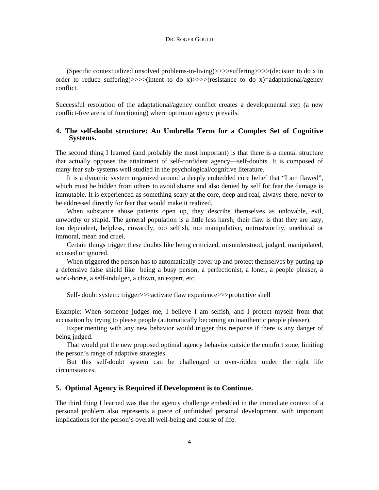(Specific contextualized unsolved problems-in-living)>>>>suffering>>>>(decision to do x in order to reduce suffering) $>>$  (intent to do x) $>>$  (resistance to do x)=adaptational/agency conflict.

Successful resolution of the adaptational/agency conflict creates a developmental step (a new conflict-free arena of functioning) where optimum agency prevails.

# **4. The self-doubt structure: An Umbrella Term for a Complex Set of Cognitive Systems.**

The second thing I learned (and probably the most important) is that there is a mental structure that actually opposes the attainment of self-confident agency—self-doubts. It is composed of many fear sub-systems well studied in the psychological/cognitive literature.

It is a dynamic system organized around a deeply embedded core belief that "I am flawed", which must be hidden from others to avoid shame and also denied by self for fear the damage is immutable. It is experienced as something scary at the core, deep and real, always there, never to be addressed directly for fear that would make it realized.

When substance abuse patients open up, they describe themselves as unlovable, evil, unworthy or stupid. The general population is a little less harsh; their flaw is that they are lazy, too dependent, helpless, cowardly, too selfish, too manipulative, untrustworthy, unethical or immoral, mean and cruel.

Certain things trigger these doubts like being criticized, misunderstood, judged, manipulated, accused or ignored.

When triggered the person has to automatically cover up and protect themselves by putting up a defensive false shield like being a busy person, a perfectionist, a loner, a people pleaser, a work-horse, a self-indulger, a clown, an expert, etc.

Self- doubt system: trigger>>>activate flaw experience>>>protective shell

Example: When someone judges me, I believe I am selfish, and I protect myself from that accusation by trying to please people (automatically becoming an inauthentic people pleaser).

Experimenting with any new behavior would trigger this response if there is any danger of being judged.

That would put the new proposed optimal agency behavior outside the comfort zone, limiting the person's range of adaptive strategies.

But this self-doubt system can be challenged or over-ridden under the right life circumstances.

# **5. Optimal Agency is Required if Development is to Continue.**

The third thing I learned was that the agency challenge embedded in the immediate context of a personal problem also represents a piece of unfinished personal development, with important implications for the person's overall well-being and course of life.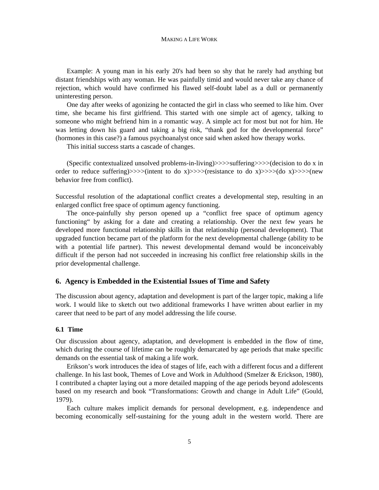Example: A young man in his early 20's had been so shy that he rarely had anything but distant friendships with any woman. He was painfully timid and would never take any chance of rejection, which would have confirmed his flawed self-doubt label as a dull or permanently uninteresting person.

One day after weeks of agonizing he contacted the girl in class who seemed to like him. Over time, she became his first girlfriend. This started with one simple act of agency, talking to someone who might befriend him in a romantic way. A simple act for most but not for him. He was letting down his guard and taking a big risk, "thank god for the developmental force" (hormones in this case?) a famous psychoanalyst once said when asked how therapy works.

This initial success starts a cascade of changes.

(Specific contextualized unsolved problems-in-living)>>>>suffering>>>>(decision to do x in order to reduce suffering)>>>>(intent to do x)>>>>(resistance to do x)>>>>(do x)>>>>(new behavior free from conflict).

Successful resolution of the adaptational conflict creates a developmental step, resulting in an enlarged conflict free space of optimum agency functioning.

The once-painfully shy person opened up a "conflict free space of optimum agency functioning" by asking for a date and creating a relationship. Over the next few years he developed more functional relationship skills in that relationship (personal development). That upgraded function became part of the platform for the next developmental challenge (ability to be with a potential life partner). This newest developmental demand would be inconceivably difficult if the person had not succeeded in increasing his conflict free relationship skills in the prior developmental challenge.

### **6. Agency is Embedded in the Existential Issues of Time and Safety**

The discussion about agency, adaptation and development is part of the larger topic, making a life work. I would like to sketch out two additional frameworks I have written about earlier in my career that need to be part of any model addressing the life course.

## **6.1 Time**

Our discussion about agency, adaptation, and development is embedded in the flow of time, which during the course of lifetime can be roughly demarcated by age periods that make specific demands on the essential task of making a life work.

Erikson's work introduces the idea of stages of life, each with a different focus and a different challenge. In his last book, Themes of Love and Work in Adulthood (Smelzer & Erickson, 1980), I contributed a chapter laying out a more detailed mapping of the age periods beyond adolescents based on my research and book "Transformations: Growth and change in Adult Life" (Gould, 1979).

Each culture makes implicit demands for personal development, e.g. independence and becoming economically self-sustaining for the young adult in the western world. There are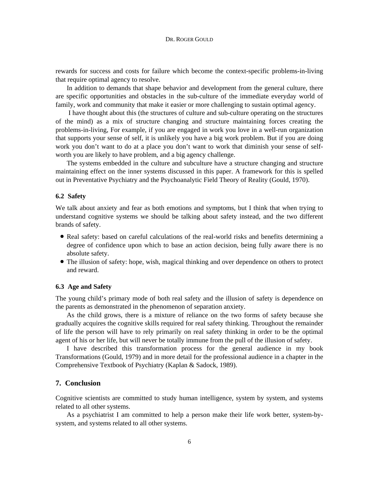rewards for success and costs for failure which become the context-specific problems-in-living that require optimal agency to resolve.

In addition to demands that shape behavior and development from the general culture, there are specific opportunities and obstacles in the sub-culture of the immediate everyday world of family, work and community that make it easier or more challenging to sustain optimal agency.

I have thought about this (the structures of culture and sub-culture operating on the structures of the mind) as a mix of structure changing and structure maintaining forces creating the problems-in-living, For example, if you are engaged in work you love in a well-run organization that supports your sense of self, it is unlikely you have a big work problem. But if you are doing work you don't want to do at a place you don't want to work that diminish your sense of selfworth you are likely to have problem, and a big agency challenge.

The systems embedded in the culture and subculture have a structure changing and structure maintaining effect on the inner systems discussed in this paper. A framework for this is spelled out in Preventative Psychiatry and the Psychoanalytic Field Theory of Reality (Gould, 1970).

#### **6.2 Safety**

We talk about anxiety and fear as both emotions and symptoms, but I think that when trying to understand cognitive systems we should be talking about safety instead, and the two different brands of safety.

- Real safety: based on careful calculations of the real-world risks and benefits determining a degree of confidence upon which to base an action decision, being fully aware there is no absolute safety.
- The illusion of safety: hope, wish, magical thinking and over dependence on others to protect and reward.

#### **6.3 Age and Safety**

The young child's primary mode of both real safety and the illusion of safety is dependence on the parents as demonstrated in the phenomenon of separation anxiety.

As the child grows, there is a mixture of reliance on the two forms of safety because she gradually acquires the cognitive skills required for real safety thinking. Throughout the remainder of life the person will have to rely primarily on real safety thinking in order to be the optimal agent of his or her life, but will never be totally immune from the pull of the illusion of safety.

I have described this transformation process for the general audience in my book Transformations (Gould, 1979) and in more detail for the professional audience in a chapter in the Comprehensive Textbook of Psychiatry (Kaplan & Sadock, 1989).

## **7. Conclusion**

Cognitive scientists are committed to study human intelligence, system by system, and systems related to all other systems.

As a psychiatrist I am committed to help a person make their life work better, system-bysystem, and systems related to all other systems.